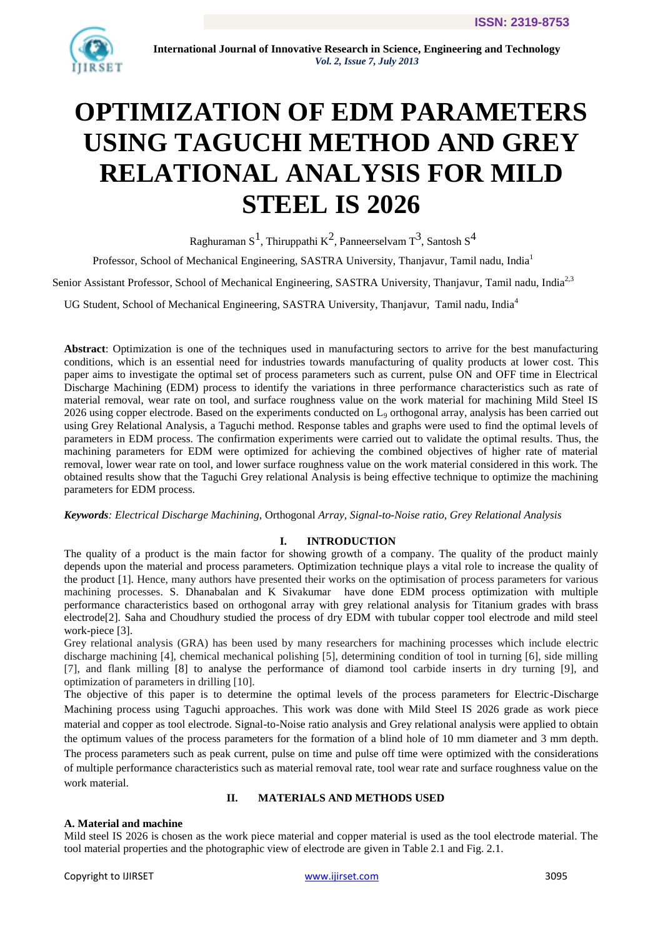

# **OPTIMIZATION OF EDM PARAMETERS USING TAGUCHI METHOD AND GREY RELATIONAL ANALYSIS FOR MILD STEEL IS 2026**

Raghuraman S $^1$ , Thiruppathi K $^2$ , Panneerselvam T $^3$ , Santosh S $^4$ 

Professor, School of Mechanical Engineering, SASTRA University, Thanjavur, Tamil nadu, India<sup>1</sup>

Senior Assistant Professor, School of Mechanical Engineering, SASTRA University, Thanjavur, Tamil nadu, India<sup>2,3</sup>

UG Student, School of Mechanical Engineering, SASTRA University, Thanjavur, Tamil nadu, India<sup>4</sup>

**Abstract**: Optimization is one of the techniques used in manufacturing sectors to arrive for the best manufacturing conditions, which is an essential need for industries towards manufacturing of quality products at lower cost. This paper aims to investigate the optimal set of process parameters such as current, pulse ON and OFF time in Electrical Discharge Machining (EDM) process to identify the variations in three performance characteristics such as rate of material removal, wear rate on tool, and surface roughness value on the work material for machining Mild Steel IS 2026 using copper electrode. Based on the experiments conducted on  $L_9$  orthogonal array, analysis has been carried out using Grey Relational Analysis, a Taguchi method. Response tables and graphs were used to find the optimal levels of parameters in EDM process. The confirmation experiments were carried out to validate the optimal results. Thus, the machining parameters for EDM were optimized for achieving the combined objectives of higher rate of material removal, lower wear rate on tool, and lower surface roughness value on the work material considered in this work. The obtained results show that the Taguchi Grey relational Analysis is being effective technique to optimize the machining parameters for EDM process.

*Keywords: Electrical Discharge Machining,* Orthogonal *Array, Signal-to-Noise ratio, Grey Relational Analysis*

# **I. INTRODUCTION**

The quality of a product is the main factor for showing growth of a company. The quality of the product mainly depends upon the material and process parameters. Optimization technique plays a vital role to increase the quality of the product [1]. Hence, many authors have presented their works on the optimisation of process parameters for various machining processes. S. Dhanabalan and K Sivakumar have done EDM process optimization with multiple performance characteristics based on orthogonal array with grey relational analysis for Titanium grades with brass electrode[2]. Saha and Choudhury studied the process of dry EDM with tubular copper tool electrode and mild steel work-piece [3].

Grey relational analysis (GRA) has been used by many researchers for machining processes which include electric discharge machining [4], chemical mechanical polishing [5], determining condition of tool in turning [6], side milling [7], and flank milling [8] to analyse the performance of diamond tool carbide inserts in dry turning [9], and optimization of parameters in drilling [10].

The objective of this paper is to determine the optimal levels of the process parameters for Electric-Discharge Machining process using Taguchi approaches. This work was done with Mild Steel IS 2026 grade as work piece material and copper as tool electrode. Signal-to-Noise ratio analysis and Grey relational analysis were applied to obtain the optimum values of the process parameters for the formation of a blind hole of 10 mm diameter and 3 mm depth. The process parameters such as peak current, pulse on time and pulse off time were optimized with the considerations of multiple performance characteristics such as material removal rate, tool wear rate and surface roughness value on the work material.

## **II. MATERIALS AND METHODS USED**

# **A. Material and machine**

Mild steel IS 2026 is chosen as the work piece material and copper material is used as the tool electrode material. The tool material properties and the photographic view of electrode are given in Table 2.1 and Fig. 2.1.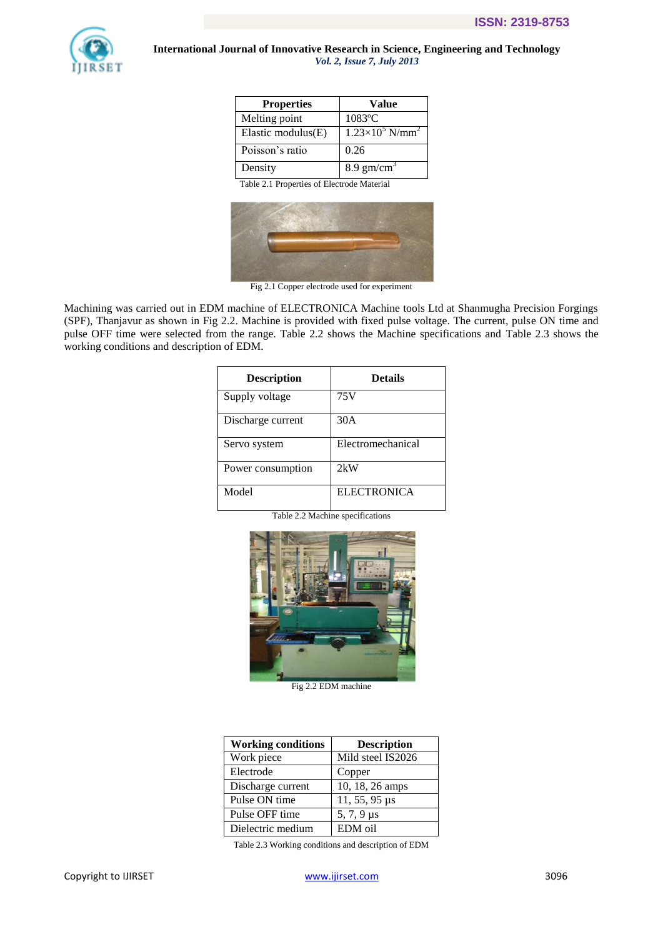

| <b>Properties</b>     | Value                              |
|-----------------------|------------------------------------|
| Melting point         | 1083°C                             |
| Elastic modulus $(E)$ | $1.23\times10^5$ N/mm <sup>2</sup> |
| Poisson's ratio       | 0.26                               |
| Density               | $8.9 \text{ gm/cm}^3$              |

Table 2.1 Properties of Electrode Material



Fig 2.1 Copper electrode used for experiment

Machining was carried out in EDM machine of ELECTRONICA Machine tools Ltd at Shanmugha Precision Forgings (SPF), Thanjavur as shown in Fig 2.2. Machine is provided with fixed pulse voltage. The current, pulse ON time and pulse OFF time were selected from the range. Table 2.2 shows the Machine specifications and Table 2.3 shows the working conditions and description of EDM.

| <b>Description</b> | <b>Details</b>     |
|--------------------|--------------------|
| Supply voltage     | 75 V               |
| Discharge current  | 30A                |
| Servo system       | Electromechanical  |
| Power consumption  | 2kW                |
| Model              | <b>ELECTRONICA</b> |

Table 2.2 Machine specifications



Fig 2.2 EDM machine

| <b>Working conditions</b> | <b>Description</b>   |
|---------------------------|----------------------|
| Work piece                | Mild steel IS2026    |
| Electrode                 | Copper               |
| Discharge current         | 10, 18, 26 amps      |
| Pulse ON time             | $11, 55, 95 \,\mu s$ |
| Pulse OFF time            | $5, 7, 9 \,\mu s$    |
| Dielectric medium         | EDM oil              |

Table 2.3 Working conditions and description of EDM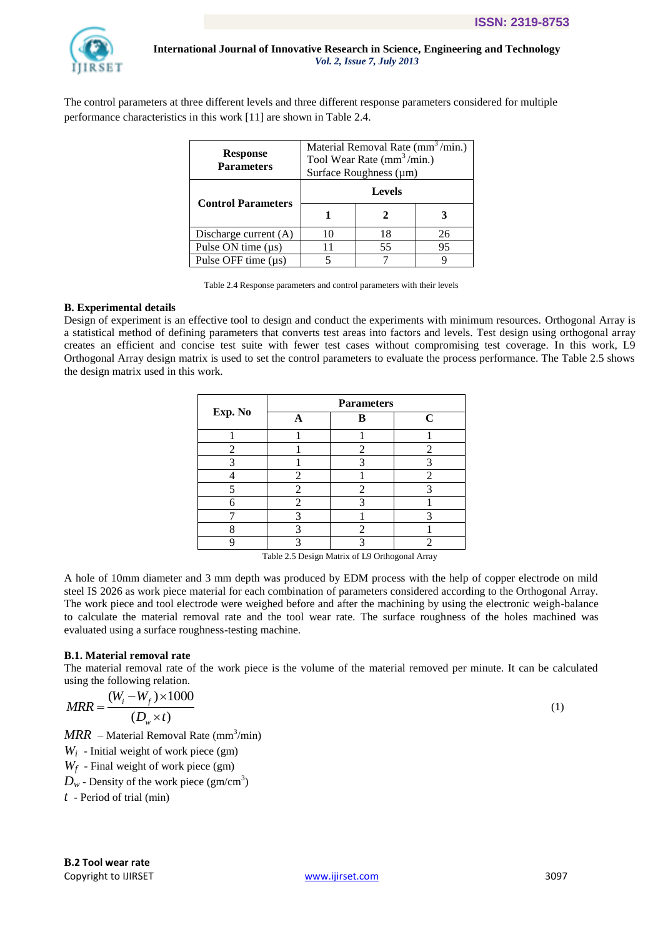

The control parameters at three different levels and three different response parameters considered for multiple performance characteristics in this work [11] are shown in Table 2.4.

| <b>Response</b><br><b>Parameters</b> | Material Removal Rate $(mm^3/min.)$<br>Tool Wear Rate $(mm^3/min.)$<br>Surface Roughness (µm) |    |    |  |
|--------------------------------------|-----------------------------------------------------------------------------------------------|----|----|--|
|                                      | <b>Levels</b>                                                                                 |    |    |  |
| <b>Control Parameters</b>            |                                                                                               |    |    |  |
| Discharge current (A)                | 10                                                                                            | 18 | 26 |  |
| Pulse ON time $(\mu s)$              | 11                                                                                            | 55 | 95 |  |
| Pulse OFF time $(\mu s)$             |                                                                                               |    |    |  |

Table 2.4 Response parameters and control parameters with their levels

## **B. Experimental details**

Design of experiment is an effective tool to design and conduct the experiments with minimum resources. Orthogonal Array is a statistical method of defining parameters that converts test areas into factors and levels. Test design using orthogonal array creates an efficient and concise test suite with fewer test cases without compromising test coverage. In this work, L9 Orthogonal Array design matrix is used to set the control parameters to evaluate the process performance. The Table 2.5 shows the design matrix used in this work.

|         | <b>Parameters</b> |                |             |  |  |
|---------|-------------------|----------------|-------------|--|--|
| Exp. No |                   | в              | $\mathbf C$ |  |  |
|         |                   |                |             |  |  |
| 2       |                   | 2              | 2           |  |  |
|         |                   |                | 3           |  |  |
|         | 2                 |                | 2           |  |  |
| ς       | 2                 | $\mathfrak{D}$ | 3           |  |  |
|         | $\mathfrak{D}$    |                |             |  |  |
|         |                   |                | 3           |  |  |
|         |                   |                |             |  |  |
|         |                   |                |             |  |  |

Table 2.5 Design Matrix of L9 Orthogonal Array

A hole of 10mm diameter and 3 mm depth was produced by EDM process with the help of copper electrode on mild steel IS 2026 as work piece material for each combination of parameters considered according to the Orthogonal Array. The work piece and tool electrode were weighed before and after the machining by using the electronic weigh-balance to calculate the material removal rate and the tool wear rate. The surface roughness of the holes machined was evaluated using a surface roughness-testing machine.

# **B.1. Material removal rate**

The material removal rate of the work piece is the volume of the material removed per minute. It can be calculated

using the following relation.  
\n
$$
MRR = \frac{(W_i - W_f) \times 1000}{(D_w \times t)}
$$
\n(1)

 $MRR$  – Material Removal Rate (mm<sup>3</sup>/min)

 $W_i$  - Initial weight of work piece (gm)

*Wf* - Final weight of work piece (gm)

 $D_w$  - Density of the work piece (gm/cm<sup>3</sup>)

*t* - Period of trial (min)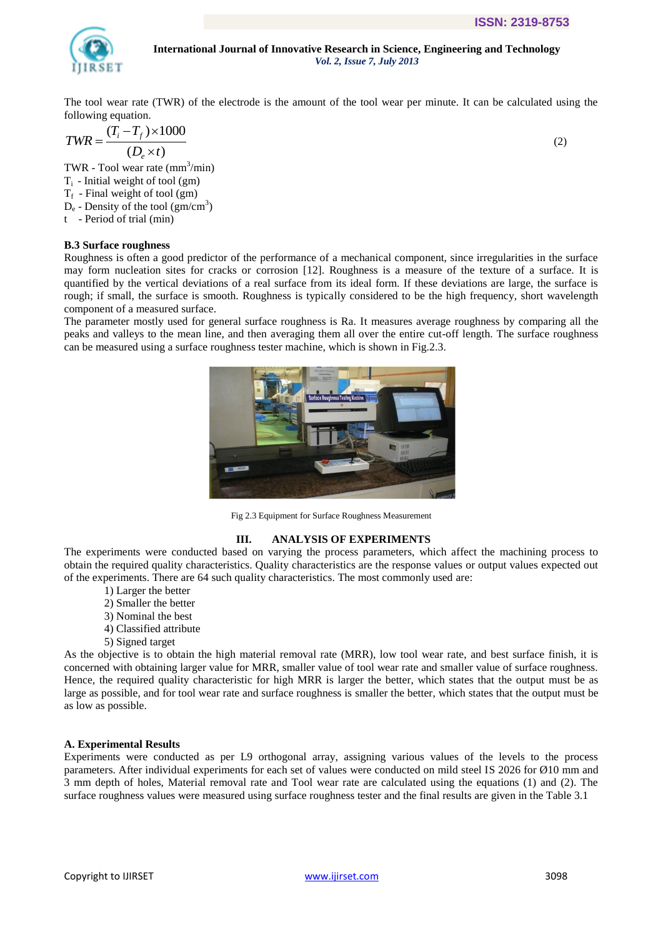

The tool wear rate (TWR) of the electrode is the amount of the tool wear per minute. It can be calculated using the

following equation.  
\n
$$
TWR = \frac{(T_i - T_f) \times 1000}{(D_e \times t)}
$$

TWR - Tool wear rate (mm<sup>3</sup>/min)  $T_i$  - Initial weight of tool (gm)  $T_f$  - Final weight of tool (gm)  $D_e$  - Density of the tool (gm/cm<sup>3</sup>) t - Period of trial (min)

**B.3 Surface roughness**

Roughness is often a good predictor of the performance of a mechanical component, since irregularities in the surface may form nucleation sites for cracks or corrosion [12]. Roughness is a measure of the texture of a surface. It is quantified by the vertical deviations of a real surface from its ideal form. If these deviations are large, the surface is rough; if small, the surface is smooth. Roughness is typically considered to be the high frequency, short wavelength component of a measured surface.

The parameter mostly used for general surface roughness is Ra. It measures average roughness by comparing all the peaks and valleys to the mean line, and then averaging them all over the entire cut-off length. The surface roughness can be measured using a surface roughness tester machine, which is shown in Fig.2.3.



Fig 2.3 Equipment for Surface Roughness Measurement

#### **III. ANALYSIS OF EXPERIMENTS**

The experiments were conducted based on varying the process parameters, which affect the machining process to obtain the required quality characteristics. Quality characteristics are the response values or output values expected out of the experiments. There are 64 such quality characteristics. The most commonly used are:

- 1) Larger the better
- 2) Smaller the better
- 3) Nominal the best
- 4) Classified attribute
- 5) Signed target

As the objective is to obtain the high material removal rate (MRR), low tool wear rate, and best surface finish, it is concerned with obtaining larger value for MRR, smaller value of tool wear rate and smaller value of surface roughness. Hence, the required quality characteristic for high MRR is larger the better, which states that the output must be as large as possible, and for tool wear rate and surface roughness is smaller the better, which states that the output must be as low as possible.

#### **A. Experimental Results**

Experiments were conducted as per L9 orthogonal array, assigning various values of the levels to the process parameters. After individual experiments for each set of values were conducted on mild steel IS 2026 for Ø10 mm and 3 mm depth of holes, Material removal rate and Tool wear rate are calculated using the equations (1) and (2). The surface roughness values were measured using surface roughness tester and the final results are given in the Table 3.1

(2)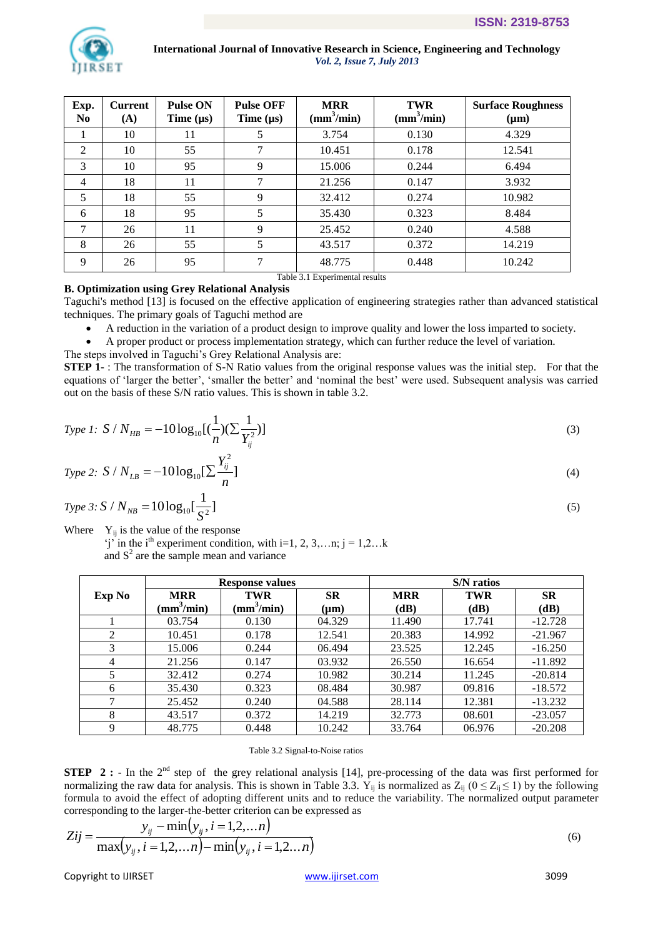

| Exp.<br>N <sub>0</sub> | <b>Current</b><br>(A) | <b>Pulse ON</b><br>Time $(\mu s)$ | <b>Pulse OFF</b><br>Time $(\mu s)$ | <b>MRR</b><br>$(mm^3/min)$ | <b>TWR</b><br>$\left(\text{mm}^3/\text{min}\right)$ | <b>Surface Roughness</b><br>$(\mu m)$ |
|------------------------|-----------------------|-----------------------------------|------------------------------------|----------------------------|-----------------------------------------------------|---------------------------------------|
|                        | 10                    | 11                                |                                    | 3.754                      | 0.130                                               | 4.329                                 |
| 2                      | 10                    | 55                                |                                    | 10.451                     | 0.178                                               | 12.541                                |
| 3                      | 10                    | 95                                | 9                                  | 15.006                     | 0.244                                               | 6.494                                 |
| 4                      | 18                    | 11                                |                                    | 21.256                     | 0.147                                               | 3.932                                 |
| 5                      | 18                    | 55                                | 9                                  | 32.412                     | 0.274                                               | 10.982                                |
| 6                      | 18                    | 95                                | 5                                  | 35.430                     | 0.323                                               | 8.484                                 |
| 7                      | 26                    | 11                                | 9                                  | 25.452                     | 0.240                                               | 4.588                                 |
| 8                      | 26                    | 55                                | 5                                  | 43.517                     | 0.372                                               | 14.219                                |
| 9                      | 26                    | 95                                |                                    | 48.775<br>--------         | 0.448<br><b>CONTRACTOR</b>                          | 10.242                                |

Table 3.1 Experimental results

# **B. Optimization using Grey Relational Analysis**

Taguchi's method [13] is focused on the effective application of engineering strategies rather than advanced statistical techniques. The primary goals of Taguchi method are

A reduction in the variation of a product design to improve quality and lower the loss imparted to society.

A proper product or process implementation strategy, which can further reduce the level of variation.

The steps involved in Taguchi"s Grey Relational Analysis are:

**STEP 1** -: The transformation of S-N Ratio values from the original response values was the initial step. For that the equations of 'larger the better', 'smaller the better' and 'nominal the best' were used. Subsequent analysis was carried out on the basis of these S/N ratio values. This is shown in table 3.2.

*Type 1:* 
$$
S / N_{HB} = -10 \log_{10}[(\frac{1}{n})(\sum \frac{1}{Y_{ij}^2})]
$$
 (3)

*Type 2:* 
$$
S / N_{LB} = -10 \log_{10} \left[\sum \frac{Y_{ij}^2}{n}\right]
$$
 (4)

$$
Type 3: S / N_{NB} = 10 \log_{10} \left[ \frac{1}{S^2} \right] \tag{5}
$$

Where  $Y_{ij}$  is the value of the response

 $'j'$  in the i<sup>th</sup> experiment condition, with i=1, 2, 3,...n; j = 1,2...k and  $S<sup>2</sup>$  are the sample mean and variance

|        |                                      | <b>Response values</b>               |                        | <b>S/N</b> ratios  |                    |                   |  |
|--------|--------------------------------------|--------------------------------------|------------------------|--------------------|--------------------|-------------------|--|
| Exp No | <b>MRR</b><br>(mm <sup>3</sup> /min) | <b>TWR</b><br>(mm <sup>3</sup> /min) | <b>SR</b><br>$(\mu m)$ | <b>MRR</b><br>(dB) | <b>TWR</b><br>(dB) | <b>SR</b><br>(dB) |  |
|        | 03.754                               | 0.130                                | 04.329                 | 11.490             | 17.741             | $-12.728$         |  |
| 2      | 10.451                               | 0.178                                | 12.541                 | 20.383             | 14.992             | $-21.967$         |  |
| 3      | 15.006                               | 0.244                                | 06.494                 | 23.525             | 12.245             | $-16.250$         |  |
| 4      | 21.256                               | 0.147                                | 03.932                 | 26.550             | 16.654             | $-11.892$         |  |
| 5      | 32.412                               | 0.274                                | 10.982                 | 30.214             | 11.245             | $-20.814$         |  |
| 6      | 35.430                               | 0.323                                | 08.484                 | 30.987             | 09.816             | $-18.572$         |  |
| ℸ      | 25.452                               | 0.240                                | 04.588                 | 28.114             | 12.381             | $-13.232$         |  |
| 8      | 43.517                               | 0.372                                | 14.219                 | 32.773             | 08.601             | $-23.057$         |  |
| 9      | 48.775                               | 0.448                                | 10.242                 | 33.764             | 06.976             | $-20.208$         |  |

Table 3.2 Signal-to-Noise ratios

**STEP 2 :** - In the 2<sup>nd</sup> step of the grey relational analysis [14], pre-processing of the data was first performed for normalizing the raw data for analysis. This is shown in Table 3.3.  $Y_{ii}$  is normalized as  $Z_{ii}$  ( $0 \le Z_{ii} \le 1$ ) by the following formula to avoid the effect of adopting different units and to reduce the variability. The normalized output parameter corresponding to the larger-the-better criterion can be expressed as

$$
Zij = \frac{y_{ij} - \min(y_{ij}, i = 1, 2, \dots n)}{\max(y_{ij}, i = 1, 2, \dots n) - \min(y_{ij}, i = 1, 2, \dots n)}
$$
(6)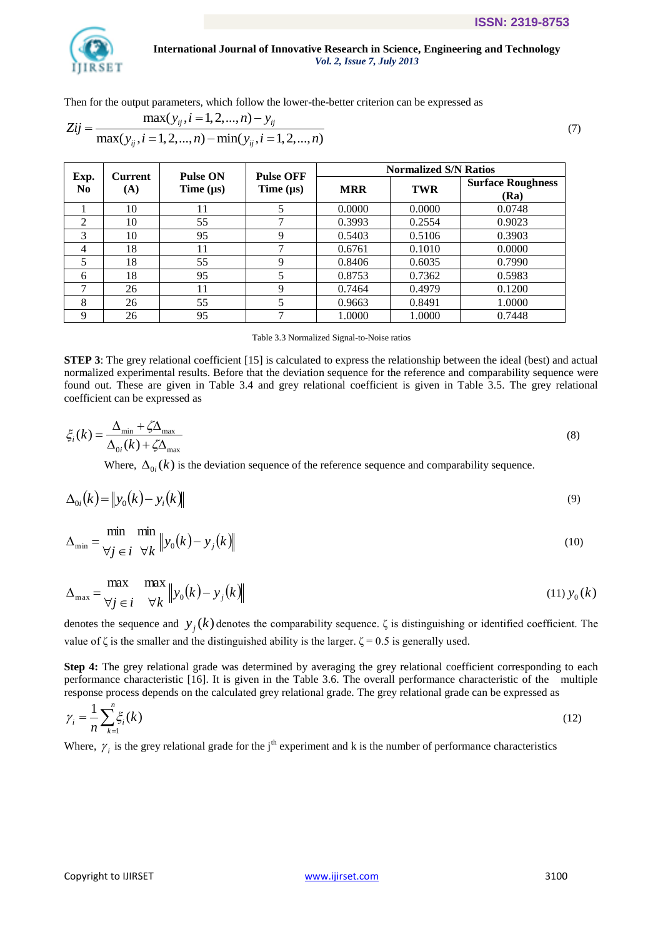

Then for the output parameters, which follow the lower-the-better criterion can be expressed as

Then for the output parameters, which follow the lower-the-better criterion can be expressed as  
\n
$$
\text{max}(y_{ij}, i = 1, 2, ..., n) - y_{ij}
$$
\n
$$
\text{max}(y_{ij}, i = 1, 2, ..., n) - \min(y_{ij}, i = 1, 2, ..., n)
$$
\n(7)

|             | <b>Current</b> | Pulse ON       | <b>Pulse OFF</b>         |            | <b>Normalized S/N Ratios</b> |                                  |
|-------------|----------------|----------------|--------------------------|------------|------------------------------|----------------------------------|
| Exp.<br>No. | (A)            | Time $(\mu s)$ | Time $(\mu s)$           | <b>MRR</b> | <b>TWR</b>                   | <b>Surface Roughness</b><br>(Ra) |
|             | 10             | 11             | 5                        | 0.0000     | 0.0000                       | 0.0748                           |
| 2           | 10             | 55             | ⇁                        | 0.3993     | 0.2554                       | 0.9023                           |
| 3           | 10             | 95             | 9                        | 0.5403     | 0.5106                       | 0.3903                           |
| 4           | 18             | 11             | ⇁                        | 0.6761     | 0.1010                       | 0.0000                           |
| 5           | 18             | 55             | 9                        | 0.8406     | 0.6035                       | 0.7990                           |
| 6           | 18             | 95             | 5                        | 0.8753     | 0.7362                       | 0.5983                           |
|             | 26             | 11             | 9                        | 0.7464     | 0.4979                       | 0.1200                           |
| 8           | 26             | 55             | $\overline{\mathcal{L}}$ | 0.9663     | 0.8491                       | 1.0000                           |
| Q           | 26             | 95             | 7                        | 1.0000     | 1.0000                       | 0.7448                           |

Table 3.3 Normalized Signal-to-Noise ratios

**STEP 3**: The grey relational coefficient [15] is calculated to express the relationship between the ideal (best) and actual normalized experimental results. Before that the deviation sequence for the reference and comparability sequence were found out. These are given in Table 3.4 and grey relational coefficient is given in Table 3.5. The grey relational coefficient can be expressed as

$$
\xi_i(k) = \frac{\Delta_{\min} + \zeta \Delta_{\max}}{\Delta_{0i}(k) + \zeta \Delta_{\max}}
$$
\n(8)

Where,  $\Delta_{0i}(k)$  is the deviation sequence of the reference sequence and comparability sequence.

$$
\Delta_{0i}(k) = \|y_0(k) - y_i(k)\| \tag{9}
$$

$$
\Delta_{\min} = \frac{\min}{\forall j \in i} \frac{\min}{\forall k} \|y_0(k) - y_j(k)\|
$$
\n(10)

$$
\Delta_{\max} = \frac{\max}{\forall j \in i} \frac{\max}{\forall k} \|y_0(k) - y_j(k)\|
$$
\n(11)  $y_0(k)$ 

denotes the sequence and  $y_j(k)$  denotes the comparability sequence.  $\zeta$  is distinguishing or identified coefficient. The value of  $\zeta$  is the smaller and the distinguished ability is the larger.  $\zeta = 0.5$  is generally used.

**Step 4:** The grey relational grade was determined by averaging the grey relational coefficient corresponding to each performance characteristic [16]. It is given in the Table 3.6. The overall performance characteristic of the multiple response process depends on the calculated grey relational grade. The grey relational grade can be expressed as

$$
\gamma_i = \frac{1}{n} \sum_{k=1}^n \xi_i(k) \tag{12}
$$

Where,  $\gamma_i$  is the grey relational grade for the j<sup>th</sup> experiment and k is the number of performance characteristics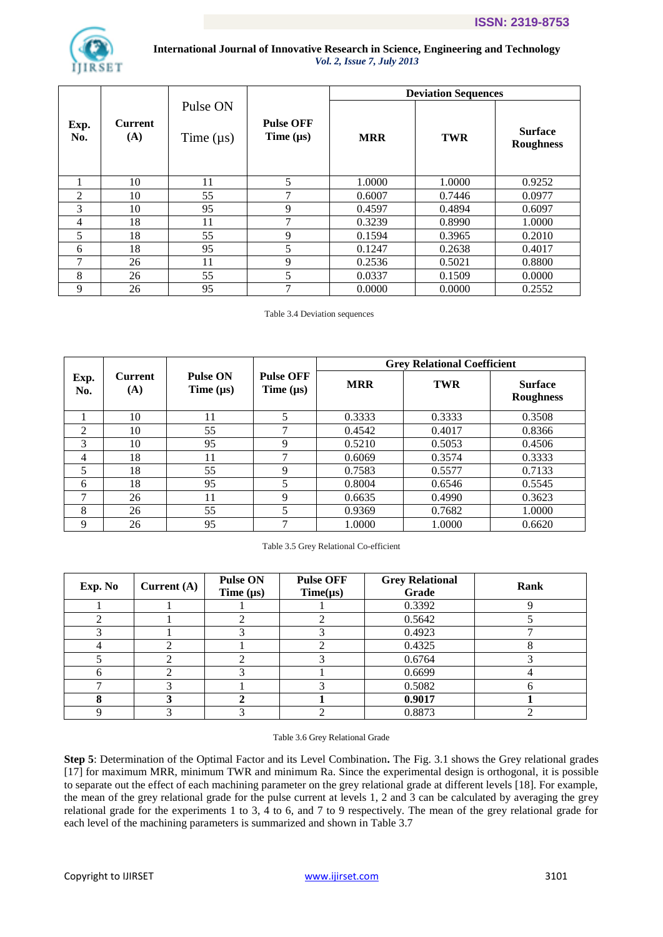

|             |                       |                            |                                    |            | <b>Deviation Sequences</b> |                                    |
|-------------|-----------------------|----------------------------|------------------------------------|------------|----------------------------|------------------------------------|
| Exp.<br>No. | <b>Current</b><br>(A) | Pulse ON<br>Time $(\mu s)$ | <b>Pulse OFF</b><br>Time $(\mu s)$ | <b>MRR</b> | <b>TWR</b>                 | <b>Surface</b><br><b>Roughness</b> |
|             | 10                    | 11                         | 5                                  | 1.0000     | 1.0000                     | 0.9252                             |
| 2           | 10                    | 55                         | 7                                  | 0.6007     | 0.7446                     | 0.0977                             |
| 3           | 10                    | 95                         | 9                                  | 0.4597     | 0.4894                     | 0.6097                             |
| 4           | 18                    | 11                         | 7                                  | 0.3239     | 0.8990                     | 1.0000                             |
| 5           | 18                    | 55                         | 9                                  | 0.1594     | 0.3965                     | 0.2010                             |
| 6           | 18                    | 95                         | 5                                  | 0.1247     | 0.2638                     | 0.4017                             |
| 7           | 26                    | 11                         | 9                                  | 0.2536     | 0.5021                     | 0.8800                             |
| 8           | 26                    | 55                         | 5                                  | 0.0337     | 0.1509                     | 0.0000                             |
| 9           | 26                    | 95                         | 7                                  | 0.0000     | 0.0000                     | 0.2552                             |

Table 3.4 Deviation sequences

|             |                       |                                   |                                    |            | <b>Grey Relational Coefficient</b> |                                    |
|-------------|-----------------------|-----------------------------------|------------------------------------|------------|------------------------------------|------------------------------------|
| Exp.<br>No. | <b>Current</b><br>(A) | <b>Pulse ON</b><br>Time $(\mu s)$ | <b>Pulse OFF</b><br>Time $(\mu s)$ | <b>MRR</b> | <b>TWR</b>                         | <b>Surface</b><br><b>Roughness</b> |
|             | 10                    | 11                                | 5                                  | 0.3333     | 0.3333                             | 0.3508                             |
| 2           | 10                    | 55                                | ⇁                                  | 0.4542     | 0.4017                             | 0.8366                             |
| 3           | 10                    | 95                                | 9                                  | 0.5210     | 0.5053                             | 0.4506                             |
| 4           | 18                    |                                   |                                    | 0.6069     | 0.3574                             | 0.3333                             |
| 5           | 18                    | 55                                | 9                                  | 0.7583     | 0.5577                             | 0.7133                             |
| 6           | 18                    | 95                                | 5                                  | 0.8004     | 0.6546                             | 0.5545                             |
|             | 26                    | 11                                | 9                                  | 0.6635     | 0.4990                             | 0.3623                             |
| 8           | 26                    | 55                                | 5                                  | 0.9369     | 0.7682                             | 1.0000                             |
| 9           | 26                    | 95                                |                                    | 1.0000     | 1.0000                             | 0.6620                             |

#### Table 3.5 Grey Relational Co-efficient

| Exp. No | Current $(A)$ | <b>Pulse ON</b><br>Time $(\mu s)$ | <b>Pulse OFF</b><br>$Time(\mu s)$ | <b>Grey Relational</b><br>Grade | Rank |
|---------|---------------|-----------------------------------|-----------------------------------|---------------------------------|------|
|         |               |                                   |                                   | 0.3392                          |      |
|         |               |                                   |                                   | 0.5642                          |      |
|         |               |                                   |                                   | 0.4923                          |      |
|         |               |                                   |                                   | 0.4325                          |      |
|         |               |                                   |                                   | 0.6764                          |      |
|         |               |                                   |                                   | 0.6699                          |      |
|         |               |                                   |                                   | 0.5082                          |      |
|         |               |                                   |                                   | 0.9017                          |      |
|         |               |                                   |                                   | 0.8873                          |      |

#### Table 3.6 Grey Relational Grade

**Step 5**: Determination of the Optimal Factor and its Level Combination**.** The Fig. 3.1 shows the Grey relational grades [17] for maximum MRR, minimum TWR and minimum Ra. Since the experimental design is orthogonal, it is possible to separate out the effect of each machining parameter on the grey relational grade at different levels [18]. For example, the mean of the grey relational grade for the pulse current at levels 1, 2 and 3 can be calculated by averaging the grey relational grade for the experiments 1 to 3, 4 to 6, and 7 to 9 respectively. The mean of the grey relational grade for each level of the machining parameters is summarized and shown in Table 3.7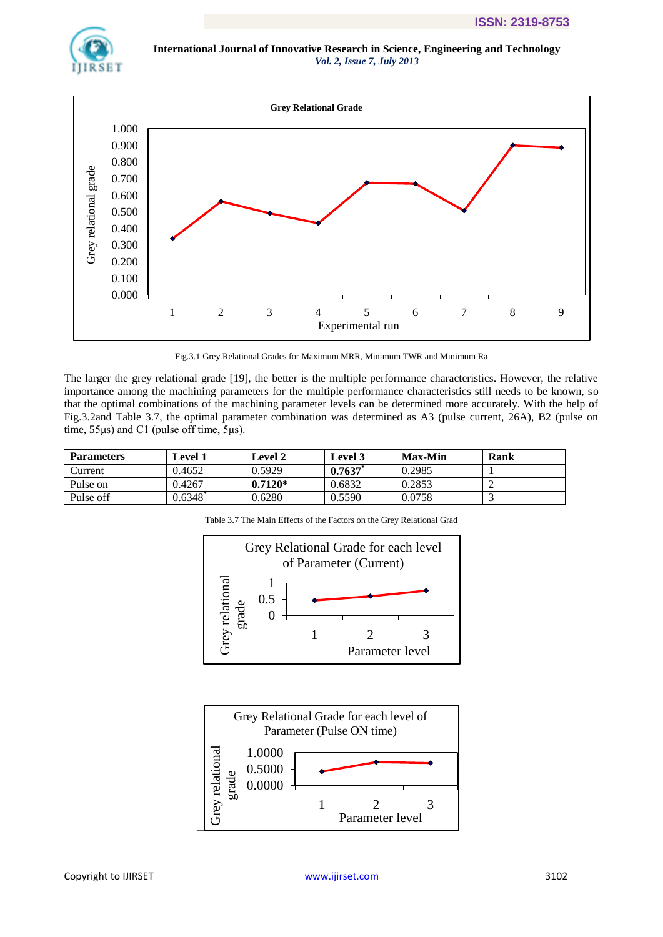



Fig.3.1 Grey Relational Grades for Maximum MRR, Minimum TWR and Minimum Ra

The larger the grey relational grade [19], the better is the multiple performance characteristics. However, the relative importance among the machining parameters for the multiple performance characteristics still needs to be known, so that the optimal combinations of the machining parameter levels can be determined more accurately. With the help of Fig.3.2and Table 3.7, the optimal parameter combination was determined as A3 (pulse current, 26A), B2 (pulse on time, 55μs) and C1 (pulse off time, 5μs).

| <b>Parameters</b> | Level 1 | Level 2   | <b>Level 3</b> | <b>Max-Min</b> | Rank |
|-------------------|---------|-----------|----------------|----------------|------|
| .\urrent          | 0.4652  | 0.5929    | 0.7637         | 0.2985         |      |
| Pulse on          | 0.4267  | $0.7120*$ | 0.6832         | 0.2853         |      |
| Pulse off         | 0.6348  | 0.6280    | 0.5590         | 0.0758         |      |

Table 3.7 The Main Effects of the Factors on the Grey Relational Grad



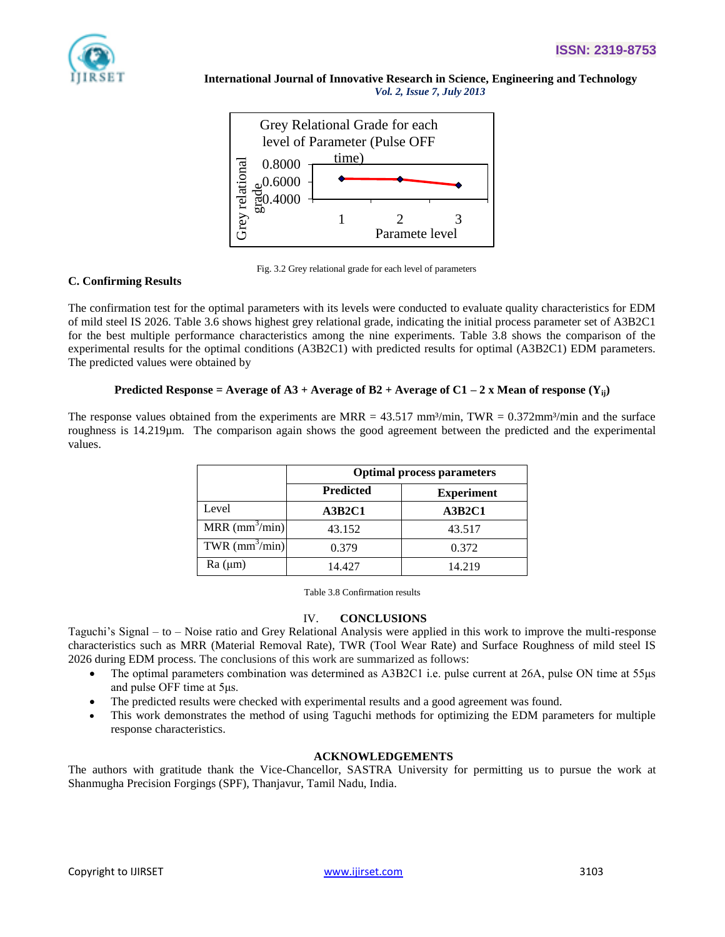





# **C. Confirming Results**

The confirmation test for the optimal parameters with its levels were conducted to evaluate quality characteristics for EDM of mild steel IS 2026. Table 3.6 shows highest grey relational grade, indicating the initial process parameter set of A3B2C1 for the best multiple performance characteristics among the nine experiments. Table 3.8 shows the comparison of the experimental results for the optimal conditions (A3B2C1) with predicted results for optimal (A3B2C1) EDM parameters. The predicted values were obtained by

# **Predicted Response = Average of A3 + Average of B2 + Average of C1 – 2 x Mean of response (Yij)**

The response values obtained from the experiments are MRR =  $43.517$  mm<sup>3</sup>/min, TWR =  $0.372$ mm<sup>3</sup>/min and the surface roughness is 14.219µm. The comparison again shows the good agreement between the predicted and the experimental values.

|                                 | <b>Optimal process parameters</b> |                   |
|---------------------------------|-----------------------------------|-------------------|
|                                 | <b>Predicted</b>                  | <b>Experiment</b> |
| Level                           | A3B2C1                            | A3B2C1            |
| $MRR \text{ (mm}^3/\text{min)}$ | 43.152                            | 43.517            |
| TWR $\text{(mm}^3/\text{min})$  | 0.379                             | 0.372             |
| Ra (µm)                         | 14.427                            | 14.219            |

Table 3.8 Confirmation results

# IV. **CONCLUSIONS**

Taguchi"s Signal – to – Noise ratio and Grey Relational Analysis were applied in this work to improve the multi-response characteristics such as MRR (Material Removal Rate), TWR (Tool Wear Rate) and Surface Roughness of mild steel IS 2026 during EDM process. The conclusions of this work are summarized as follows:

- The optimal parameters combination was determined as A3B2C1 i.e. pulse current at 26A, pulse ON time at 55μs and pulse OFF time at 5μs.
- The predicted results were checked with experimental results and a good agreement was found.
- This work demonstrates the method of using Taguchi methods for optimizing the EDM parameters for multiple response characteristics.

# **ACKNOWLEDGEMENTS**

The authors with gratitude thank the Vice-Chancellor, SASTRA University for permitting us to pursue the work at Shanmugha Precision Forgings (SPF), Thanjavur, Tamil Nadu, India.